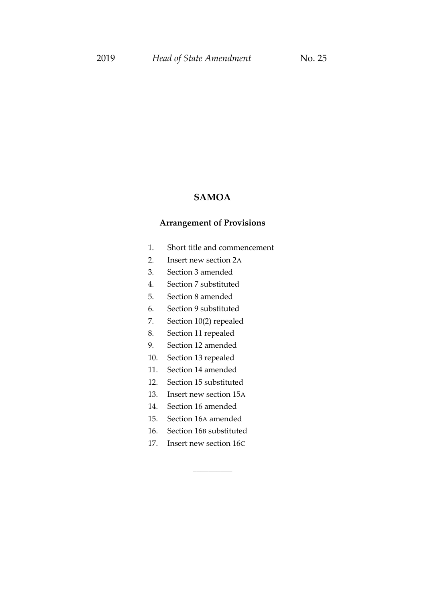# **SAMOA**

## **Arrangement of Provisions**

- 1. Short title and commencement
- 2. Insert new section 2A
- 3. Section 3 amended
- 4. Section 7 substituted
- 5. Section 8 amended
- 6. Section 9 substituted
- 7. Section 10(2) repealed
- 8. Section 11 repealed
- 9. Section 12 amended
- 10. Section 13 repealed
- 11. Section 14 amended
- 12. Section 15 substituted
- 13. Insert new section 15A
- 14. Section 16 amended
- 15. Section 16A amended
- 16. Section 16B substituted
- 17. Insert new section 16C

\_\_\_\_\_\_\_\_\_\_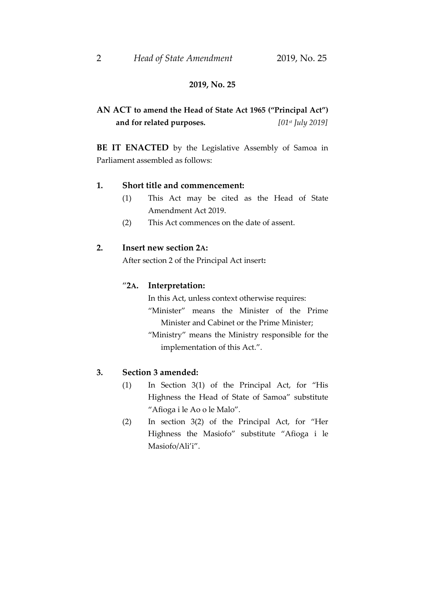## 2 *Head of State Amendment* 2019, No. 25

## **2019, No. 25**

# **AN ACT to amend the Head of State Act 1965 ("Principal Act") and for related purposes.** *[01st July 2019]*

**BE IT ENACTED** by the Legislative Assembly of Samoa in Parliament assembled as follows:

#### **1. Short title and commencement:**

- (1) This Act may be cited as the Head of State Amendment Act 2019.
- (2) This Act commences on the date of assent.

#### **2. Insert new section 2A:**

After section 2 of the Principal Act insert**:**

#### "**2A. Interpretation:**

In this Act, unless context otherwise requires: "Minister" means the Minister of the Prime Minister and Cabinet or the Prime Minister; "Ministry" means the Ministry responsible for the implementation of this Act.".

## **3. Section 3 amended:**

- (1) In Section 3(1) of the Principal Act, for "His Highness the Head of State of Samoa" substitute "Afioga i le Ao o le Malo".
- (2) In section 3(2) of the Principal Act, for "Her Highness the Masiofo" substitute "Afioga i le Masiofo/Ali'i".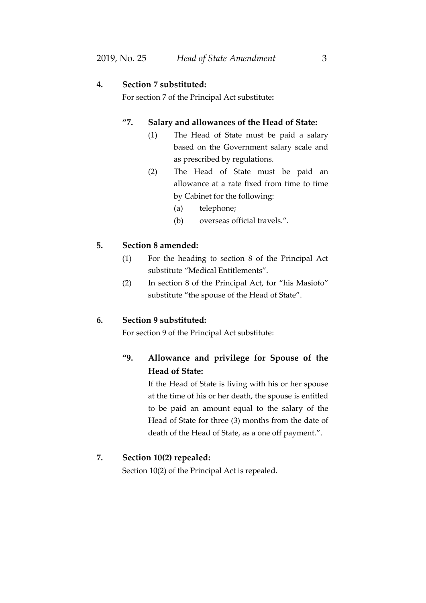## **4. Section 7 substituted:**

For section 7 of the Principal Act substitute**:**

## **"7. Salary and allowances of the Head of State:**

- (1) The Head of State must be paid a salary based on the Government salary scale and as prescribed by regulations.
- (2) The Head of State must be paid an allowance at a rate fixed from time to time by Cabinet for the following:
	- (a) telephone;
	- (b) overseas official travels.".

#### **5. Section 8 amended:**

- (1) For the heading to section 8 of the Principal Act substitute "Medical Entitlements".
- (2) In section 8 of the Principal Act, for "his Masiofo" substitute "the spouse of the Head of State".

### **6. Section 9 substituted:**

For section 9 of the Principal Act substitute:

# **"9. Allowance and privilege for Spouse of the Head of State:**

If the Head of State is living with his or her spouse at the time of his or her death, the spouse is entitled to be paid an amount equal to the salary of the Head of State for three (3) months from the date of death of the Head of State, as a one off payment.".

## **7. Section 10(2) repealed:**

Section 10(2) of the Principal Act is repealed.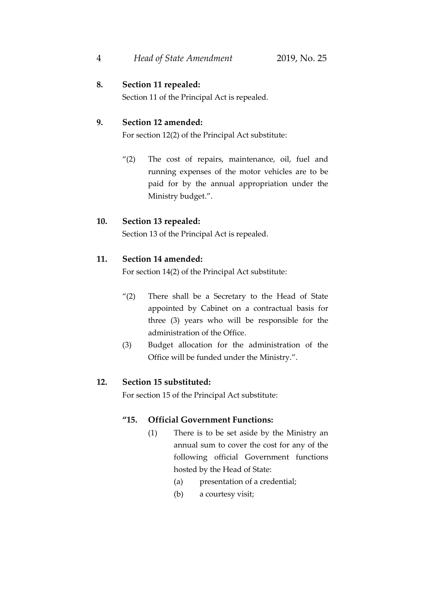# **8. Section 11 repealed:**

Section 11 of the Principal Act is repealed.

# **9. Section 12 amended:**

For section 12(2) of the Principal Act substitute:

"(2) The cost of repairs, maintenance, oil, fuel and running expenses of the motor vehicles are to be paid for by the annual appropriation under the Ministry budget.".

# **10. Section 13 repealed:**

Section 13 of the Principal Act is repealed.

# **11. Section 14 amended:**

For section 14(2) of the Principal Act substitute:

- "(2) There shall be a Secretary to the Head of State appointed by Cabinet on a contractual basis for three (3) years who will be responsible for the administration of the Office.
- (3) Budget allocation for the administration of the Office will be funded under the Ministry.".

# **12. Section 15 substituted:**

For section 15 of the Principal Act substitute:

# **"15. Official Government Functions:**

- (1) There is to be set aside by the Ministry an annual sum to cover the cost for any of the following official Government functions hosted by the Head of State:
	- (a) presentation of a credential;
	- (b) a courtesy visit;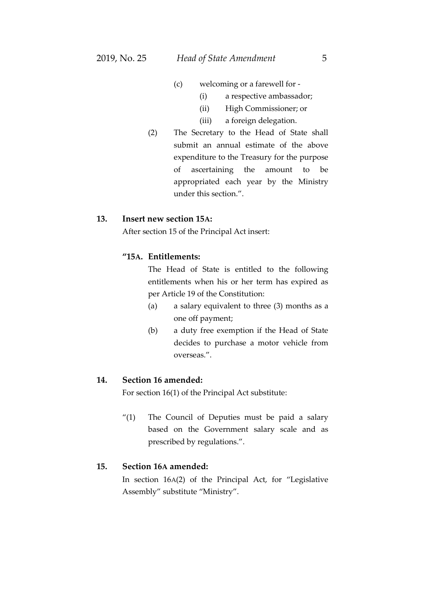- (c) welcoming or a farewell for
	- (i) a respective ambassador;
	- (ii) High Commissioner; or
	- (iii) a foreign delegation.
- (2) The Secretary to the Head of State shall submit an annual estimate of the above expenditure to the Treasury for the purpose of ascertaining the amount to be appropriated each year by the Ministry under this section.".

## **13. Insert new section 15A:**

After section 15 of the Principal Act insert:

## **"15A. Entitlements:**

The Head of State is entitled to the following entitlements when his or her term has expired as per Article 19 of the Constitution:

- (a) a salary equivalent to three (3) months as a one off payment;
- (b) a duty free exemption if the Head of State decides to purchase a motor vehicle from overseas.".

#### **14. Section 16 amended:**

For section 16(1) of the Principal Act substitute:

"(1) The Council of Deputies must be paid a salary based on the Government salary scale and as prescribed by regulations.".

## **15. Section 16A amended:**

In section 16A(2) of the Principal Act, for "Legislative Assembly" substitute "Ministry".